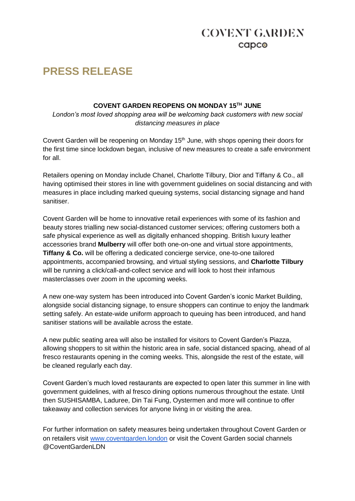## **COVENT GARDEN** capco

# **PRESS RELEASE**

#### **COVENT GARDEN REOPENS ON MONDAY 15TH JUNE**

*London's most loved shopping area will be welcoming back customers with new social distancing measures in place*

Covent Garden will be reopening on Monday 15<sup>th</sup> June, with shops opening their doors for the first time since lockdown began, inclusive of new measures to create a safe environment for all.

Retailers opening on Monday include Chanel, Charlotte Tilbury, Dior and Tiffany & Co., all having optimised their stores in line with government guidelines on social distancing and with measures in place including marked queuing systems, social distancing signage and hand sanitiser.

Covent Garden will be home to innovative retail experiences with some of its fashion and beauty stores trialling new social-distanced customer services; offering customers both a safe physical experience as well as digitally enhanced shopping. British luxury leather accessories brand **Mulberry** will offer both one-on-one and virtual store appointments, **Tiffany & Co.** will be offering a dedicated concierge service, one-to-one tailored appointments, accompanied browsing, and virtual styling sessions, and **Charlotte Tilbury** will be running a click/call-and-collect service and will look to host their infamous masterclasses over zoom in the upcoming weeks.

A new one-way system has been introduced into Covent Garden's iconic Market Building, alongside social distancing signage, to ensure shoppers can continue to enjoy the landmark setting safely. An estate-wide uniform approach to queuing has been introduced, and hand sanitiser stations will be available across the estate.

A new public seating area will also be installed for visitors to Covent Garden's Piazza, allowing shoppers to sit within the historic area in safe, social distanced spacing, ahead of al fresco restaurants opening in the coming weeks. This, alongside the rest of the estate, will be cleaned regularly each day.

Covent Garden's much loved restaurants are expected to open later this summer in line with government guidelines, with al fresco dining options numerous throughout the estate. Until then SUSHISAMBA, Laduree, Din Tai Fung, Oystermen and more will continue to offer takeaway and collection services for anyone living in or visiting the area.

For further information on safety measures being undertaken throughout Covent Garden or on retailers visit [www.coventgarden.london](http://www.coventgarden.london/) or visit the Covent Garden social channels @CoventGardenLDN